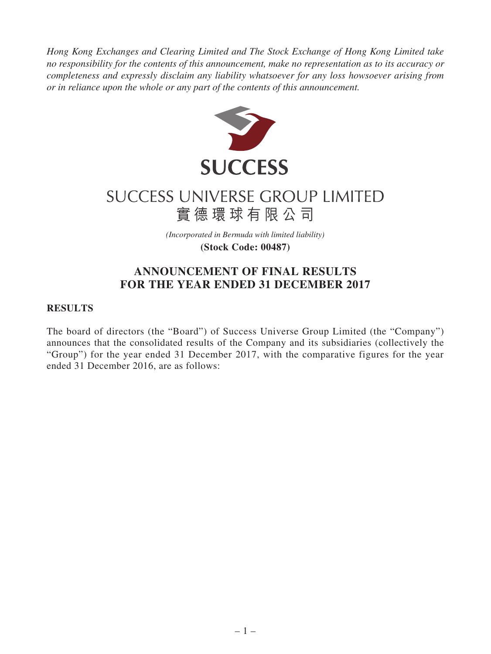*Hong Kong Exchanges and Clearing Limited and The Stock Exchange of Hong Kong Limited take no responsibility for the contents of this announcement, make no representation as to its accuracy or completeness and expressly disclaim any liability whatsoever for any loss howsoever arising from or in reliance upon the whole or any part of the contents of this announcement.*



# SUCCESS UNIVERSE GROUP LIMITED 實德環球有限公司

*(Incorporated in Bermuda with limited liability)* **(Stock Code: 00487)**

# **ANNOUNCEMENT OF FINAL RESULTS FOR THE YEAR ENDED 31 DECEMBER 2017**

# **RESULTS**

The board of directors (the "Board") of Success Universe Group Limited (the "Company") announces that the consolidated results of the Company and its subsidiaries (collectively the "Group") for the year ended 31 December 2017, with the comparative figures for the year ended 31 December 2016, are as follows: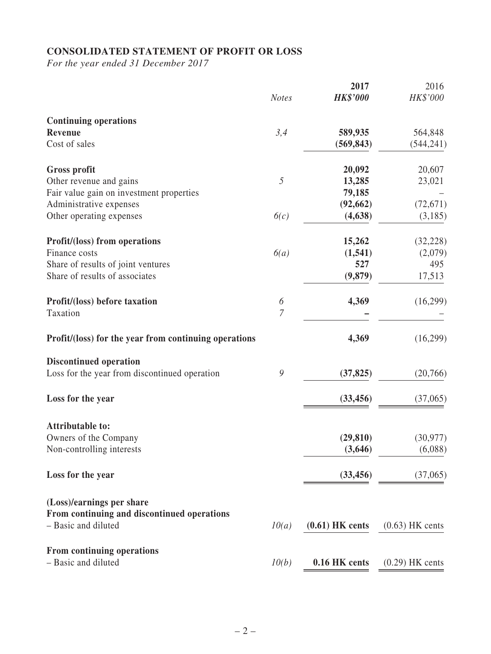# **CONSOLIDATED STATEMENT OF PROFIT OR LOSS**

*For the year ended 31 December 2017*

|                                                       |               | 2017              | 2016              |
|-------------------------------------------------------|---------------|-------------------|-------------------|
|                                                       | <b>Notes</b>  | <b>HK\$'000</b>   | HK\$'000          |
| <b>Continuing operations</b>                          |               |                   |                   |
| <b>Revenue</b>                                        | 3,4           | 589,935           | 564,848           |
| Cost of sales                                         |               | (569, 843)        | (544, 241)        |
| <b>Gross profit</b>                                   |               | 20,092            | 20,607            |
| Other revenue and gains                               | 5             | 13,285            | 23,021            |
| Fair value gain on investment properties              |               | 79,185            |                   |
| Administrative expenses                               |               | (92, 662)         | (72, 671)         |
| Other operating expenses                              | 6(c)          | (4,638)           | (3,185)           |
| <b>Profit/(loss)</b> from operations                  |               | 15,262            | (32, 228)         |
| Finance costs                                         | 6(a)          | (1, 541)          | (2,079)           |
| Share of results of joint ventures                    |               | 527               | 495               |
| Share of results of associates                        |               | (9,879)           | 17,513            |
| Profit/(loss) before taxation                         | 6             | 4,369             | (16,299)          |
| Taxation                                              | 7             |                   |                   |
| Profit/(loss) for the year from continuing operations |               | 4,369             | (16,299)          |
| <b>Discontinued operation</b>                         |               |                   |                   |
| Loss for the year from discontinued operation         | $\mathcal{G}$ | (37, 825)         | (20,766)          |
| Loss for the year                                     |               | (33, 456)         | (37,065)          |
| <b>Attributable to:</b>                               |               |                   |                   |
| Owners of the Company                                 |               | (29, 810)         | (30, 977)         |
| Non-controlling interests                             |               | (3,646)           | (6,088)           |
| Loss for the year                                     |               | (33, 456)         | (37,065)          |
| (Loss)/earnings per share                             |               |                   |                   |
| From continuing and discontinued operations           |               |                   |                   |
| - Basic and diluted                                   | 10(a)         | $(0.61)$ HK cents | $(0.63)$ HK cents |
| From continuing operations                            |               |                   |                   |
| - Basic and diluted                                   | 10(b)         | 0.16 HK cents     | $(0.29)$ HK cents |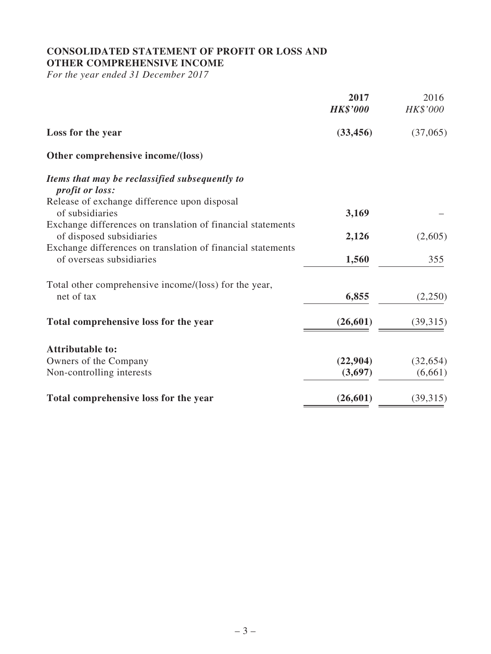# **CONSOLIDATED STATEMENT OF PROFIT OR LOSS AND OTHER COMPREHENSIVE INCOME**

*For the year ended 31 December 2017*

|                                                                                         | 2017<br><b>HK\$'000</b> | 2016<br>HK\$'000 |
|-----------------------------------------------------------------------------------------|-------------------------|------------------|
| Loss for the year                                                                       | (33, 456)               | (37,065)         |
| Other comprehensive income/(loss)                                                       |                         |                  |
| Items that may be reclassified subsequently to<br><i>profit or loss:</i>                |                         |                  |
| Release of exchange difference upon disposal<br>of subsidiaries                         | 3,169                   |                  |
| Exchange differences on translation of financial statements<br>of disposed subsidiaries | 2,126                   | (2,605)          |
| Exchange differences on translation of financial statements<br>of overseas subsidiaries | 1,560                   | 355              |
| Total other comprehensive income/(loss) for the year,<br>net of tax                     | 6,855                   | (2,250)          |
| Total comprehensive loss for the year                                                   | (26, 601)               | (39,315)         |
| <b>Attributable to:</b>                                                                 |                         |                  |
| Owners of the Company                                                                   | (22,904)                | (32, 654)        |
| Non-controlling interests                                                               | (3,697)                 | (6,661)          |
| Total comprehensive loss for the year                                                   | (26, 601)               | (39,315)         |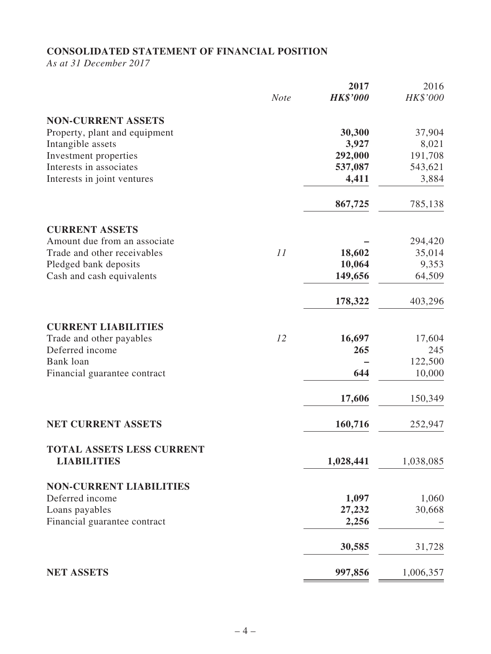# **CONSOLIDATED STATEMENT OF FINANCIAL POSITION**

*As at 31 December 2017*

|                                | <b>Note</b> | 2017<br><b>HK\$'000</b> | 2016<br>HK\$'000 |
|--------------------------------|-------------|-------------------------|------------------|
| <b>NON-CURRENT ASSETS</b>      |             |                         |                  |
| Property, plant and equipment  |             | 30,300                  | 37,904           |
| Intangible assets              |             | 3,927                   | 8,021            |
| Investment properties          |             | 292,000                 | 191,708          |
| Interests in associates        |             | 537,087                 | 543,621          |
| Interests in joint ventures    |             | 4,411                   | 3,884            |
|                                |             | 867,725                 | 785,138          |
| <b>CURRENT ASSETS</b>          |             |                         |                  |
| Amount due from an associate   |             |                         | 294,420          |
| Trade and other receivables    | 11          | 18,602                  | 35,014           |
| Pledged bank deposits          |             | 10,064                  | 9,353            |
| Cash and cash equivalents      |             | 149,656                 | 64,509           |
|                                |             | 178,322                 | 403,296          |
| <b>CURRENT LIABILITIES</b>     |             |                         |                  |
| Trade and other payables       | 12          | 16,697                  | 17,604           |
| Deferred income                |             | 265                     | 245              |
| Bank loan                      |             |                         | 122,500          |
| Financial guarantee contract   |             | 644                     | 10,000           |
|                                |             | 17,606                  | 150,349          |
| <b>NET CURRENT ASSETS</b>      |             | 160,716                 | 252,947          |
| TOTAL ASSETS LESS CURRENT      |             |                         |                  |
| <b>LIABILITIES</b>             |             | 1,028,441               | 1,038,085        |
| <b>NON-CURRENT LIABILITIES</b> |             |                         |                  |
| Deferred income                |             | 1,097                   | 1,060            |
| Loans payables                 |             | 27,232                  | 30,668           |
| Financial guarantee contract   |             | 2,256                   |                  |
|                                |             | 30,585                  | 31,728           |
| <b>NET ASSETS</b>              |             | 997,856                 | 1,006,357        |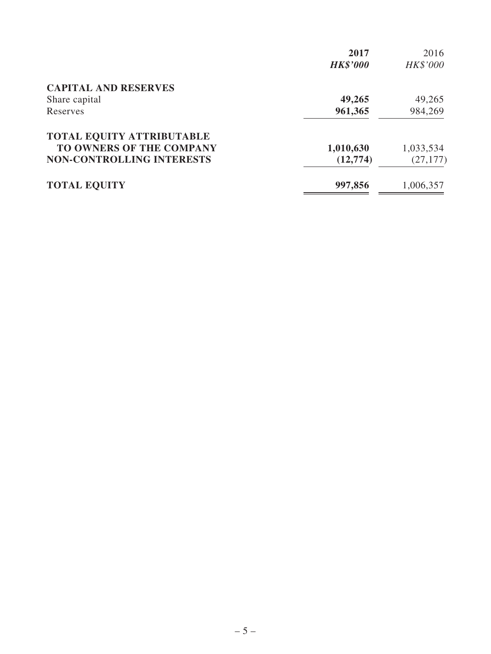| 2017            | 2016      |
|-----------------|-----------|
| <b>HK\$'000</b> | HK\$'000  |
|                 |           |
| 49,265          | 49,265    |
| 961,365         | 984,269   |
|                 |           |
| 1,010,630       | 1,033,534 |
| (12,774)        | (27, 177) |
| 997,856         | 1,006,357 |
|                 |           |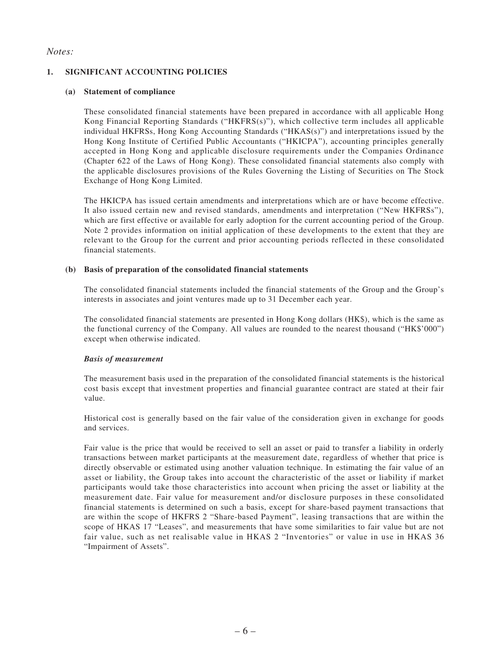### *Notes:*

### **1. SIGNIFICANT ACCOUNTING POLICIES**

#### **(a) Statement of compliance**

These consolidated financial statements have been prepared in accordance with all applicable Hong Kong Financial Reporting Standards ("HKFRS(s)"), which collective term includes all applicable individual HKFRSs, Hong Kong Accounting Standards ("HKAS(s)") and interpretations issued by the Hong Kong Institute of Certified Public Accountants ("HKICPA"), accounting principles generally accepted in Hong Kong and applicable disclosure requirements under the Companies Ordinance (Chapter 622 of the Laws of Hong Kong). These consolidated financial statements also comply with the applicable disclosures provisions of the Rules Governing the Listing of Securities on The Stock Exchange of Hong Kong Limited.

The HKICPA has issued certain amendments and interpretations which are or have become effective. It also issued certain new and revised standards, amendments and interpretation ("New HKFRSs"), which are first effective or available for early adoption for the current accounting period of the Group. Note 2 provides information on initial application of these developments to the extent that they are relevant to the Group for the current and prior accounting periods reflected in these consolidated financial statements.

### **(b) Basis of preparation of the consolidated financial statements**

The consolidated financial statements included the financial statements of the Group and the Group's interests in associates and joint ventures made up to 31 December each year.

The consolidated financial statements are presented in Hong Kong dollars (HK\$), which is the same as the functional currency of the Company. All values are rounded to the nearest thousand ("HK\$'000") except when otherwise indicated.

### *Basis of measurement*

The measurement basis used in the preparation of the consolidated financial statements is the historical cost basis except that investment properties and financial guarantee contract are stated at their fair value.

Historical cost is generally based on the fair value of the consideration given in exchange for goods and services.

Fair value is the price that would be received to sell an asset or paid to transfer a liability in orderly transactions between market participants at the measurement date, regardless of whether that price is directly observable or estimated using another valuation technique. In estimating the fair value of an asset or liability, the Group takes into account the characteristic of the asset or liability if market participants would take those characteristics into account when pricing the asset or liability at the measurement date. Fair value for measurement and/or disclosure purposes in these consolidated financial statements is determined on such a basis, except for share-based payment transactions that are within the scope of HKFRS 2 "Share-based Payment", leasing transactions that are within the scope of HKAS 17 "Leases", and measurements that have some similarities to fair value but are not fair value, such as net realisable value in HKAS 2 "Inventories" or value in use in HKAS 36 "Impairment of Assets".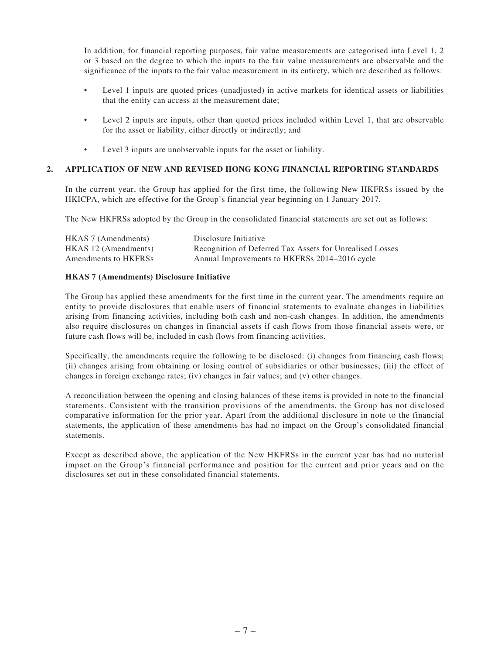In addition, for financial reporting purposes, fair value measurements are categorised into Level 1, 2 or 3 based on the degree to which the inputs to the fair value measurements are observable and the significance of the inputs to the fair value measurement in its entirety, which are described as follows:

- Level 1 inputs are quoted prices (unadjusted) in active markets for identical assets or liabilities that the entity can access at the measurement date;
- Level 2 inputs are inputs, other than quoted prices included within Level 1, that are observable for the asset or liability, either directly or indirectly; and
- Level 3 inputs are unobservable inputs for the asset or liability.

### **2. APPLICATION OF NEW AND REVISED HONG KONG FINANCIAL REPORTING STANDARDS**

In the current year, the Group has applied for the first time, the following New HKFRSs issued by the HKICPA, which are effective for the Group's financial year beginning on 1 January 2017.

The New HKFRSs adopted by the Group in the consolidated financial statements are set out as follows:

| HKAS 7 (Amendments)  | Disclosure Initiative                                    |
|----------------------|----------------------------------------------------------|
| HKAS 12 (Amendments) | Recognition of Deferred Tax Assets for Unrealised Losses |
| Amendments to HKFRSs | Annual Improvements to HKFRSs 2014–2016 cycle            |

### **HKAS 7 (Amendments) Disclosure Initiative**

The Group has applied these amendments for the first time in the current year. The amendments require an entity to provide disclosures that enable users of financial statements to evaluate changes in liabilities arising from financing activities, including both cash and non-cash changes. In addition, the amendments also require disclosures on changes in financial assets if cash flows from those financial assets were, or future cash flows will be, included in cash flows from financing activities.

Specifically, the amendments require the following to be disclosed: (i) changes from financing cash flows; (ii) changes arising from obtaining or losing control of subsidiaries or other businesses; (iii) the effect of changes in foreign exchange rates; (iv) changes in fair values; and (v) other changes.

A reconciliation between the opening and closing balances of these items is provided in note to the financial statements. Consistent with the transition provisions of the amendments, the Group has not disclosed comparative information for the prior year. Apart from the additional disclosure in note to the financial statements, the application of these amendments has had no impact on the Group's consolidated financial statements.

Except as described above, the application of the New HKFRSs in the current year has had no material impact on the Group's financial performance and position for the current and prior years and on the disclosures set out in these consolidated financial statements.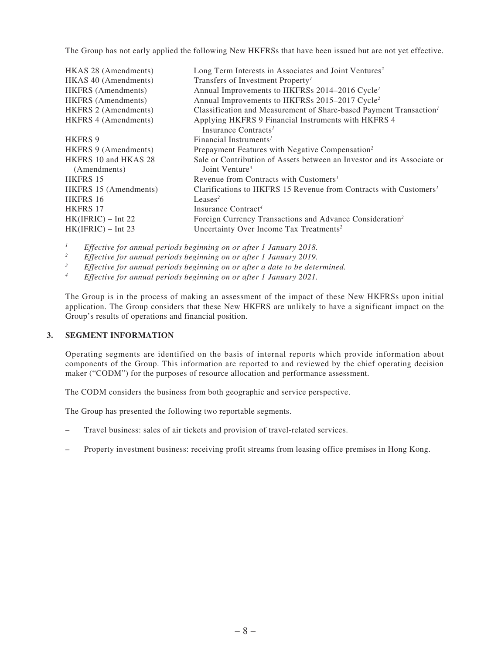The Group has not early applied the following New HKFRSs that have been issued but are not yet effective.

| HKAS 28 (Amendments)         | Long Term Interests in Associates and Joint Ventures <sup>2</sup>              |
|------------------------------|--------------------------------------------------------------------------------|
| HKAS 40 (Amendments)         | Transfers of Investment Property <sup>1</sup>                                  |
| <b>HKFRS</b> (Amendments)    | Annual Improvements to HKFRSs 2014–2016 Cycle <sup>1</sup>                     |
| <b>HKFRS</b> (Amendments)    | Annual Improvements to HKFRSs 2015-2017 Cycle <sup>2</sup>                     |
| <b>HKFRS 2 (Amendments)</b>  | Classification and Measurement of Share-based Payment Transaction <sup>1</sup> |
| HKFRS 4 (Amendments)         | Applying HKFRS 9 Financial Instruments with HKFRS 4                            |
|                              | Insurance Contracts <sup>1</sup>                                               |
| <b>HKFRS 9</b>               | Financial Instruments <sup>1</sup>                                             |
| HKFRS 9 (Amendments)         | Prepayment Features with Negative Compensation <sup>2</sup>                    |
| HKFRS 10 and HKAS 28         | Sale or Contribution of Assets between an Investor and its Associate or        |
| (Amendments)                 | Joint Venture <sup>3</sup>                                                     |
| HKFRS 15                     | Revenue from Contracts with Customers <sup>1</sup>                             |
| <b>HKFRS</b> 15 (Amendments) | Clarifications to HKFRS 15 Revenue from Contracts with Customers <sup>1</sup>  |
| HKFRS 16                     | Leases <sup>2</sup>                                                            |
| <b>HKFRS 17</b>              | Insurance Contract <sup>4</sup>                                                |
| $HK(IFRIC) - Int 22$         | Foreign Currency Transactions and Advance Consideration <sup>2</sup>           |
| $HK(IFRIC) - Int 23$         | Uncertainty Over Income Tax Treatments <sup>2</sup>                            |
|                              |                                                                                |

*<sup>1</sup> Effective for annual periods beginning on or after 1 January 2018.*

<sup>2</sup> *Effective for annual periods beginning on or after 1 January 2019.*<br><sup>3</sup> *Effective for annual periods beginning on or after a date to be determined by the date* 

*<sup>3</sup> Effective for annual periods beginning on or after a date to be determined.*

*<sup>4</sup> Effective for annual periods beginning on or after 1 January 2021.*

The Group is in the process of making an assessment of the impact of these New HKFRSs upon initial application. The Group considers that these New HKFRS are unlikely to have a significant impact on the Group's results of operations and financial position.

### **3. SEGMENT INFORMATION**

Operating segments are identified on the basis of internal reports which provide information about components of the Group. This information are reported to and reviewed by the chief operating decision maker ("CODM") for the purposes of resource allocation and performance assessment.

The CODM considers the business from both geographic and service perspective.

The Group has presented the following two reportable segments.

- Travel business: sales of air tickets and provision of travel-related services.
- Property investment business: receiving profit streams from leasing office premises in Hong Kong.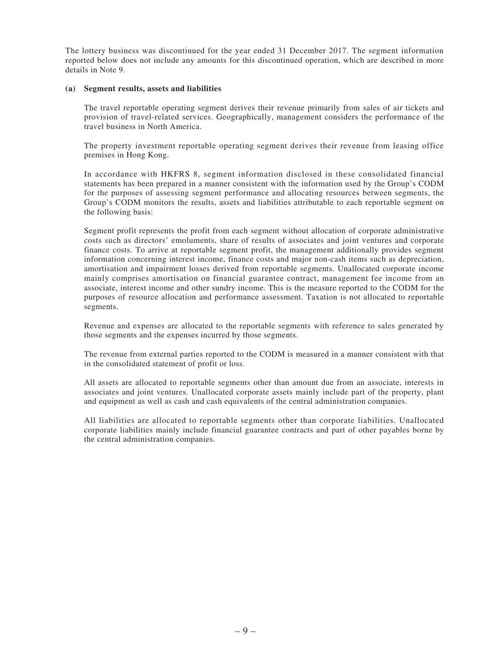The lottery business was discontinued for the year ended 31 December 2017. The segment information reported below does not include any amounts for this discontinued operation, which are described in more details in Note 9.

#### **(a) Segment results, assets and liabilities**

The travel reportable operating segment derives their revenue primarily from sales of air tickets and provision of travel-related services. Geographically, management considers the performance of the travel business in North America.

The property investment reportable operating segment derives their revenue from leasing office premises in Hong Kong.

In accordance with HKFRS 8, segment information disclosed in these consolidated financial statements has been prepared in a manner consistent with the information used by the Group's CODM for the purposes of assessing segment performance and allocating resources between segments, the Group's CODM monitors the results, assets and liabilities attributable to each reportable segment on the following basis:

Segment profit represents the profit from each segment without allocation of corporate administrative costs such as directors' emoluments, share of results of associates and joint ventures and corporate finance costs. To arrive at reportable segment profit, the management additionally provides segment information concerning interest income, finance costs and major non-cash items such as depreciation, amortisation and impairment losses derived from reportable segments. Unallocated corporate income mainly comprises amortisation on financial guarantee contract, management fee income from an associate, interest income and other sundry income. This is the measure reported to the CODM for the purposes of resource allocation and performance assessment. Taxation is not allocated to reportable segments.

Revenue and expenses are allocated to the reportable segments with reference to sales generated by those segments and the expenses incurred by those segments.

The revenue from external parties reported to the CODM is measured in a manner consistent with that in the consolidated statement of profit or loss.

All assets are allocated to reportable segments other than amount due from an associate, interests in associates and joint ventures. Unallocated corporate assets mainly include part of the property, plant and equipment as well as cash and cash equivalents of the central administration companies.

All liabilities are allocated to reportable segments other than corporate liabilities. Unallocated corporate liabilities mainly include financial guarantee contracts and part of other payables borne by the central administration companies.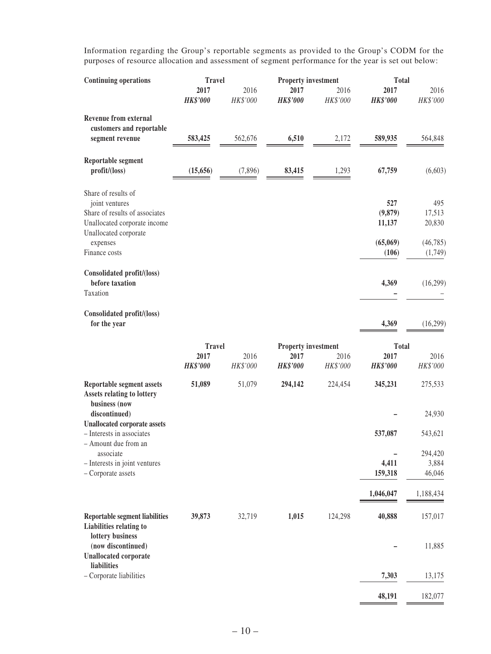Information regarding the Group's reportable segments as provided to the Group's CODM for the purposes of resource allocation and assessment of segment performance for the year is set out below:

| <b>Continuing operations</b>                                           | <b>Travel</b>           |                  | <b>Property investment</b> |                  | <b>Total</b>            |                  |
|------------------------------------------------------------------------|-------------------------|------------------|----------------------------|------------------|-------------------------|------------------|
|                                                                        | 2017<br><b>HK\$'000</b> | 2016<br>HK\$'000 | 2017<br><b>HK\$'000</b>    | 2016<br>HK\$'000 | 2017<br><b>HK\$'000</b> | 2016<br>HK\$'000 |
| <b>Revenue from external</b>                                           |                         |                  |                            |                  |                         |                  |
| customers and reportable                                               |                         |                  |                            |                  |                         |                  |
| segment revenue                                                        | 583,425                 | 562,676          | 6,510                      | 2,172            | 589,935                 | 564,848          |
| Reportable segment                                                     |                         |                  |                            |                  |                         |                  |
| profit/(loss)                                                          | (15, 656)               | (7,896)          | 83,415                     | 1,293            | 67,759                  | (6,603)          |
| Share of results of                                                    |                         |                  |                            |                  |                         |                  |
| joint ventures                                                         |                         |                  |                            |                  | 527                     | 495              |
| Share of results of associates                                         |                         |                  |                            |                  | (9,879)                 | 17,513           |
| Unallocated corporate income<br>Unallocated corporate                  |                         |                  |                            |                  | 11,137                  | 20,830           |
| expenses                                                               |                         |                  |                            |                  | (65,069)                | (46, 785)        |
| Finance costs                                                          |                         |                  |                            |                  | (106)                   | (1,749)          |
| Consolidated profit/(loss)                                             |                         |                  |                            |                  |                         |                  |
| before taxation<br>Taxation                                            |                         |                  |                            |                  | 4,369                   | (16,299)         |
|                                                                        |                         |                  |                            |                  |                         |                  |
| Consolidated profit/(loss)<br>for the year                             |                         |                  |                            |                  | 4,369                   | (16, 299)        |
|                                                                        | <b>Travel</b>           |                  | <b>Property investment</b> |                  | <b>Total</b>            |                  |
|                                                                        | 2017                    | 2016             | 2017                       | 2016             | 2017                    | 2016             |
|                                                                        | <b>HK\$'000</b>         | HK\$'000         | <b>HK\$'000</b>            | HK\$'000         | <b>HK\$'000</b>         | HK\$'000         |
| Reportable segment assets                                              | 51,089                  | 51,079           | 294,142                    | 224,454          | 345,231                 | 275,533          |
| Assets relating to lottery<br>business (now                            |                         |                  |                            |                  |                         |                  |
| discontinued)                                                          |                         |                  |                            |                  |                         | 24,930           |
| <b>Unallocated corporate assets</b><br>- Interests in associates       |                         |                  |                            |                  | 537,087                 | 543,621          |
| - Amount due from an                                                   |                         |                  |                            |                  |                         |                  |
| associate                                                              |                         |                  |                            |                  |                         | 294,420          |
| - Interests in joint ventures                                          |                         |                  |                            |                  | 4,411                   | 3,884            |
| - Corporate assets                                                     |                         |                  |                            |                  | 159,318                 | 46,046           |
|                                                                        |                         |                  |                            |                  | 1,046,047               | 1,188,434        |
| <b>Reportable segment liabilities</b><br>Liabilities relating to       | 39,873                  | 32,719           | 1,015                      | 124,298          | 40,888                  | 157,017          |
| lottery business<br>(now discontinued)<br><b>Unallocated corporate</b> |                         |                  |                            |                  |                         | 11,885           |
| liabilities<br>- Corporate liabilities                                 |                         |                  |                            |                  | 7,303                   | 13,175           |
|                                                                        |                         |                  |                            |                  |                         |                  |
|                                                                        |                         |                  |                            |                  | 48,191                  | 182,077          |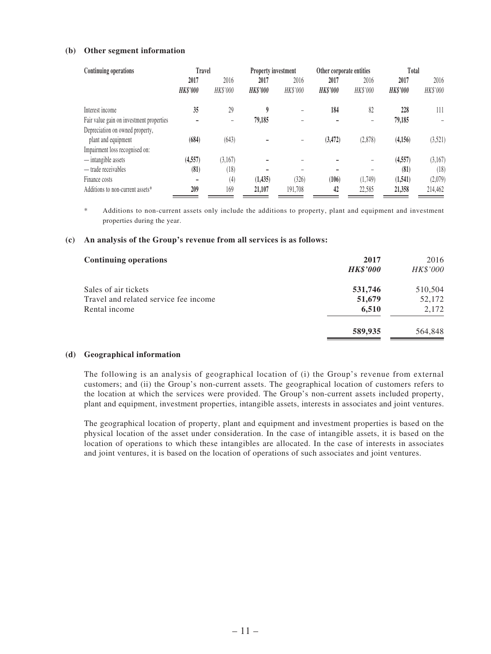#### **(b) Other segment information**

| 2017<br><b>HK\$'000</b> | 2016<br>HK\$'000 | 2017<br><b>HK\$'000</b>      | 2016<br>HK\$'000 | 2017<br><b>HK\$'000</b>    | 2016<br>HK\$'000 | 2017<br><b>HK\$'000</b>  | 2016<br>HK\$'000 |
|-------------------------|------------------|------------------------------|------------------|----------------------------|------------------|--------------------------|------------------|
| 35                      | 29               |                              |                  | 184                        | 82               | 228                      | 111              |
|                         | -                | 79,185                       |                  |                            | -                | 79,185                   |                  |
|                         |                  |                              |                  |                            |                  |                          |                  |
| (684)                   | (643)            |                              |                  | (3, 472)                   | (2,878)          | (4,156)                  | (3,521)          |
|                         |                  |                              |                  |                            |                  |                          |                  |
| (4, 557)                | (3,167)          |                              |                  |                            |                  | (4, 557)                 | (3,167)          |
| (81)                    |                  |                              |                  |                            |                  | (81)                     | (18)             |
|                         |                  | (1, 435)                     | (326)            | (106)                      | (1,749)          | (1, 541)                 | (2,079)          |
| 209                     | 169              | 21,107                       | 191,708          | 42                         | 22,585           | 21,358                   | 214,462          |
|                         |                  | <b>Travel</b><br>(18)<br>(4) |                  | <b>Property investment</b> |                  | Other corporate entities | Total            |

\* Additions to non-current assets only include the additions to property, plant and equipment and investment properties during the year.

#### **(c) An analysis of the Group's revenue from all services is as follows:**

| <b>Continuing operations</b>          | 2017<br><b>HK\$'000</b> | 2016<br>HK\$'000 |
|---------------------------------------|-------------------------|------------------|
| Sales of air tickets                  | 531,746                 | 510,504          |
| Travel and related service fee income | 51,679                  | 52,172           |
| Rental income                         | 6,510                   | 2,172            |
|                                       | 589,935                 | 564,848          |

#### **(d) Geographical information**

The following is an analysis of geographical location of (i) the Group's revenue from external customers; and (ii) the Group's non-current assets. The geographical location of customers refers to the location at which the services were provided. The Group's non-current assets included property, plant and equipment, investment properties, intangible assets, interests in associates and joint ventures.

The geographical location of property, plant and equipment and investment properties is based on the physical location of the asset under consideration. In the case of intangible assets, it is based on the location of operations to which these intangibles are allocated. In the case of interests in associates and joint ventures, it is based on the location of operations of such associates and joint ventures.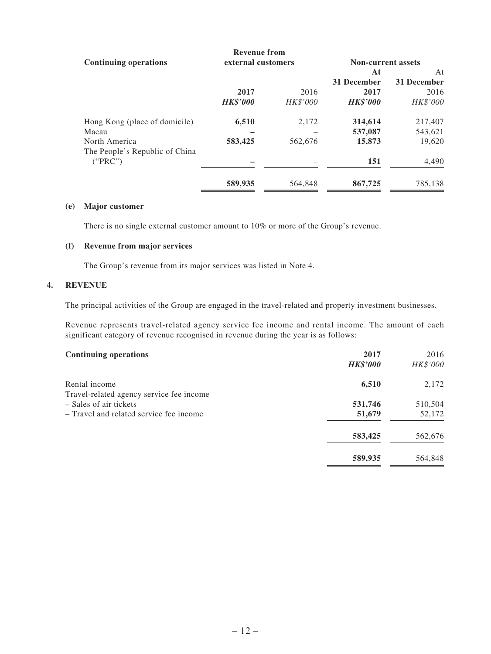| <b>Continuing operations</b>                    | <b>Revenue from</b><br>external customers |          | <b>Non-current assets</b> |             |
|-------------------------------------------------|-------------------------------------------|----------|---------------------------|-------------|
|                                                 |                                           |          | At                        | At          |
|                                                 |                                           |          | 31 December               | 31 December |
|                                                 | 2017                                      | 2016     | 2017                      | 2016        |
|                                                 | <b>HK\$'000</b>                           | HK\$'000 | <b>HK\$'000</b>           | HK\$'000    |
| Hong Kong (place of domicile)                   | 6,510                                     | 2,172    | 314,614                   | 217,407     |
| Macau                                           |                                           |          | 537,087                   | 543,621     |
| North America<br>The People's Republic of China | 583,425                                   | 562,676  | 15,873                    | 19,620      |
| ("PRC")                                         |                                           |          | 151                       | 4,490       |
|                                                 | 589,935                                   | 564.848  | 867,725                   | 785,138     |

### **(e) Major customer**

There is no single external customer amount to 10% or more of the Group's revenue.

### **(f) Revenue from major services**

The Group's revenue from its major services was listed in Note 4.

### **4. REVENUE**

The principal activities of the Group are engaged in the travel-related and property investment businesses.

Revenue represents travel-related agency service fee income and rental income. The amount of each significant category of revenue recognised in revenue during the year is as follows:

| <b>Continuing operations</b>                                       | 2017<br><b>HK\$'000</b> | 2016<br>HK\$'000 |
|--------------------------------------------------------------------|-------------------------|------------------|
| Rental income                                                      | 6,510                   | 2,172            |
| Travel-related agency service fee income<br>– Sales of air tickets | 531,746                 | 510,504          |
| - Travel and related service fee income                            | 51,679                  | 52,172           |
|                                                                    | 583,425                 | 562,676          |
|                                                                    | 589,935                 | 564,848          |

-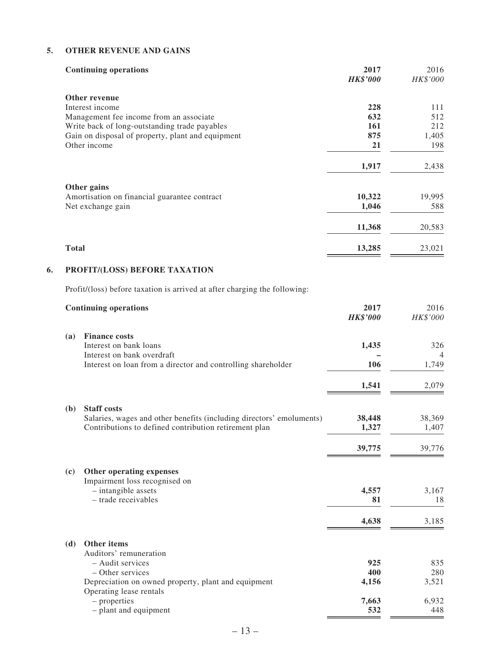### **5. OTHER REVENUE AND GAINS**

| <b>Continuing operations</b>                      | 2017<br><b>HK\$'000</b> | 2016<br><b>HK\$'000</b> |
|---------------------------------------------------|-------------------------|-------------------------|
| Other revenue                                     |                         |                         |
| Interest income                                   | 228                     | 111                     |
| Management fee income from an associate           | 632                     | 512                     |
| Write back of long-outstanding trade payables     | 161                     | 212                     |
| Gain on disposal of property, plant and equipment | 875                     | 1,405                   |
| Other income                                      | 21                      | 198                     |
|                                                   | 1,917                   | 2,438                   |
| Other gains                                       |                         |                         |
| Amortisation on financial guarantee contract      | 10,322                  | 19,995                  |
| Net exchange gain                                 | 1,046                   | 588                     |
|                                                   | 11,368                  | 20,583                  |
| <b>Total</b>                                      | 13,285                  | 23,021                  |

### **6. PROFIT/(LOSS) BEFORE TAXATION**

Profit/(loss) before taxation is arrived at after charging the following:

| <b>Continuing operations</b>                                         | 2017<br><b>HK\$'000</b> | 2016<br>HK\$'000 |
|----------------------------------------------------------------------|-------------------------|------------------|
| <b>Finance costs</b><br>(a)                                          |                         |                  |
| Interest on bank loans                                               | 1,435                   | 326              |
| Interest on bank overdraft                                           |                         | $\overline{4}$   |
| Interest on loan from a director and controlling shareholder         | 106                     | 1,749            |
|                                                                      | 1,541                   | 2,079            |
| <b>Staff costs</b><br>(b)                                            |                         |                  |
| Salaries, wages and other benefits (including directors' emoluments) | 38,448                  | 38,369           |
| Contributions to defined contribution retirement plan                | 1,327                   | 1,407            |
|                                                                      | 39,775                  | 39,776           |
| (c)<br>Other operating expenses                                      |                         |                  |
| Impairment loss recognised on                                        |                         |                  |
| - intangible assets<br>- trade receivables                           | 4,557<br>81             | 3,167<br>18      |
|                                                                      |                         |                  |
|                                                                      | 4,638                   | 3,185            |
| Other items<br>(d)                                                   |                         |                  |
| Auditors' remuneration                                               |                         |                  |
| - Audit services<br>- Other services                                 | 925<br>400              | 835<br>280       |
| Depreciation on owned property, plant and equipment                  | 4,156                   | 3,521            |
| Operating lease rentals                                              |                         |                  |
| - properties                                                         | 7,663                   | 6,932            |
| - plant and equipment                                                | 532                     | 448              |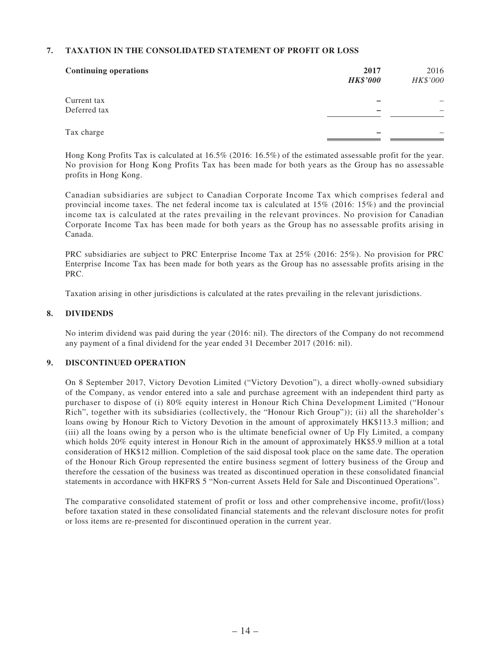### **7. TAXATION IN THE CONSOLIDATED STATEMENT OF PROFIT OR LOSS**

| <b>Continuing operations</b> | 2017<br><b>HK\$'000</b> | 2016<br>HK\$'000 |
|------------------------------|-------------------------|------------------|
| Current tax<br>Deferred tax  |                         | -                |
| Tax charge                   |                         |                  |

Hong Kong Profits Tax is calculated at 16.5% (2016: 16.5%) of the estimated assessable profit for the year. No provision for Hong Kong Profits Tax has been made for both years as the Group has no assessable profits in Hong Kong.

Canadian subsidiaries are subject to Canadian Corporate Income Tax which comprises federal and provincial income taxes. The net federal income tax is calculated at 15% (2016: 15%) and the provincial income tax is calculated at the rates prevailing in the relevant provinces. No provision for Canadian Corporate Income Tax has been made for both years as the Group has no assessable profits arising in Canada.

PRC subsidiaries are subject to PRC Enterprise Income Tax at 25% (2016: 25%). No provision for PRC Enterprise Income Tax has been made for both years as the Group has no assessable profits arising in the PRC.

Taxation arising in other jurisdictions is calculated at the rates prevailing in the relevant jurisdictions.

### **8. DIVIDENDS**

No interim dividend was paid during the year (2016: nil). The directors of the Company do not recommend any payment of a final dividend for the year ended 31 December 2017 (2016: nil).

### **9. DISCONTINUED OPERATION**

On 8 September 2017, Victory Devotion Limited ("Victory Devotion"), a direct wholly-owned subsidiary of the Company, as vendor entered into a sale and purchase agreement with an independent third party as purchaser to dispose of (i) 80% equity interest in Honour Rich China Development Limited ("Honour Rich", together with its subsidiaries (collectively, the "Honour Rich Group")); (ii) all the shareholder's loans owing by Honour Rich to Victory Devotion in the amount of approximately HK\$113.3 million; and (iii) all the loans owing by a person who is the ultimate beneficial owner of Up Fly Limited, a company which holds 20% equity interest in Honour Rich in the amount of approximately HK\$5.9 million at a total consideration of HK\$12 million. Completion of the said disposal took place on the same date. The operation of the Honour Rich Group represented the entire business segment of lottery business of the Group and therefore the cessation of the business was treated as discontinued operation in these consolidated financial statements in accordance with HKFRS 5 "Non-current Assets Held for Sale and Discontinued Operations".

The comparative consolidated statement of profit or loss and other comprehensive income, profit/(loss) before taxation stated in these consolidated financial statements and the relevant disclosure notes for profit or loss items are re-presented for discontinued operation in the current year.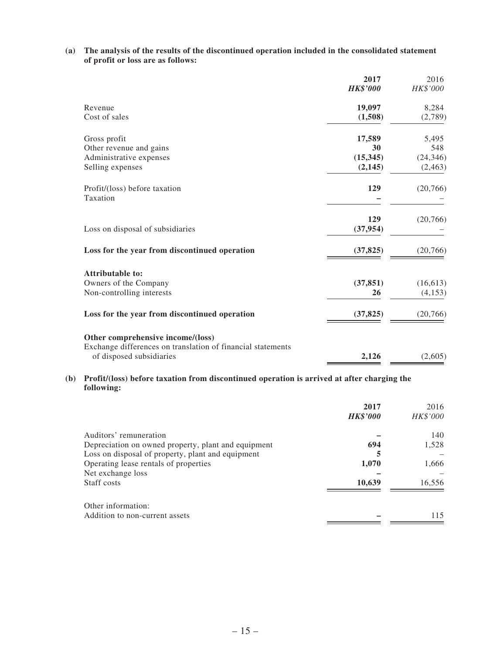### **(a) The analysis of the results of the discontinued operation included in the consolidated statement of profit or loss are as follows:**

|                                                             | 2017            | 2016      |
|-------------------------------------------------------------|-----------------|-----------|
|                                                             | <b>HK\$'000</b> | HK\$'000  |
| Revenue                                                     | 19,097          | 8,284     |
| Cost of sales                                               | (1,508)         | (2,789)   |
| Gross profit                                                | 17,589          | 5,495     |
| Other revenue and gains                                     | 30              | 548       |
| Administrative expenses                                     | (15, 345)       | (24, 346) |
| Selling expenses                                            | (2,145)         | (2, 463)  |
| Profit/(loss) before taxation                               | 129             | (20,766)  |
| Taxation                                                    |                 |           |
|                                                             | 129             | (20,766)  |
| Loss on disposal of subsidiaries                            | (37, 954)       |           |
| Loss for the year from discontinued operation               | (37, 825)       | (20,766)  |
| <b>Attributable to:</b>                                     |                 |           |
| Owners of the Company                                       | (37, 851)       | (16, 613) |
| Non-controlling interests                                   | 26              | (4,153)   |
| Loss for the year from discontinued operation               | (37, 825)       | (20,766)  |
| Other comprehensive income/(loss)                           |                 |           |
| Exchange differences on translation of financial statements |                 |           |
| of disposed subsidiaries                                    | 2,126           | (2,605)   |
|                                                             |                 |           |

### **(b) Profit/(loss) before taxation from discontinued operation is arrived at after charging the following:**

|                                                     | 2017<br><b>HK\$'000</b> | 2016<br>HK\$'000 |
|-----------------------------------------------------|-------------------------|------------------|
| Auditors' remuneration                              |                         | 140              |
| Depreciation on owned property, plant and equipment | 694                     | 1,528            |
| Loss on disposal of property, plant and equipment   | 5                       |                  |
| Operating lease rentals of properties               | 1,070                   | 1,666            |
| Net exchange loss                                   |                         |                  |
| Staff costs                                         | 10,639                  | 16,556           |
| Other information:                                  |                         |                  |
| Addition to non-current assets                      |                         | 115              |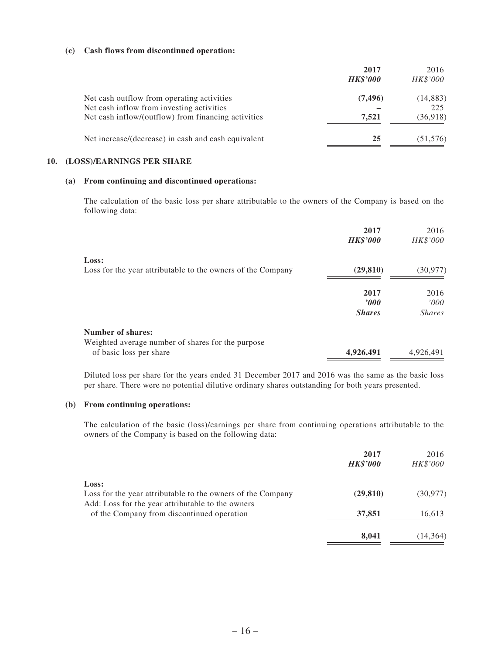### **(c) Cash flows from discontinued operation:**

|                                                                                                                                                | 2017<br><b>HK\$'000</b> | 2016<br><i>HK\$'000</i>     |
|------------------------------------------------------------------------------------------------------------------------------------------------|-------------------------|-----------------------------|
| Net cash outflow from operating activities<br>Net cash inflow from investing activities<br>Net cash inflow/(outflow) from financing activities | (7, 496)<br>7.521       | (14,883)<br>225<br>(36,918) |
| Net increase/(decrease) in cash and cash equivalent                                                                                            | 25                      | (51, 576)                   |

#### **10. (LOSS)/EARNINGS PER SHARE**

#### **(a) From continuing and discontinued operations:**

The calculation of the basic loss per share attributable to the owners of the Company is based on the following data:

|                                                                              | 2017<br><b>HK\$'000</b> | 2016<br>HK\$'000 |
|------------------------------------------------------------------------------|-------------------------|------------------|
| Loss:                                                                        |                         |                  |
| Loss for the year attributable to the owners of the Company                  | (29, 810)               | (30, 977)        |
|                                                                              | 2017                    | 2016             |
|                                                                              | 2000                    | '000'            |
|                                                                              | <b>Shares</b>           | <i>Shares</i>    |
| <b>Number of shares:</b>                                                     |                         |                  |
| Weighted average number of shares for the purpose<br>of basic loss per share | 4,926,491               | 4,926,491        |

Diluted loss per share for the years ended 31 December 2017 and 2016 was the same as the basic loss per share. There were no potential dilutive ordinary shares outstanding for both years presented.

### **(b) From continuing operations:**

The calculation of the basic (loss)/earnings per share from continuing operations attributable to the owners of the Company is based on the following data:

|                                                                                                 | 2017<br><b>HK\$'000</b> | 2016<br>HK\$'000 |
|-------------------------------------------------------------------------------------------------|-------------------------|------------------|
| Loss:                                                                                           |                         |                  |
| Loss for the year attributable to the owners of the Company                                     | (29, 810)               | (30,977)         |
| Add: Loss for the year attributable to the owners<br>of the Company from discontinued operation | 37,851                  | 16,613           |
|                                                                                                 | 8,041                   | (14,364)         |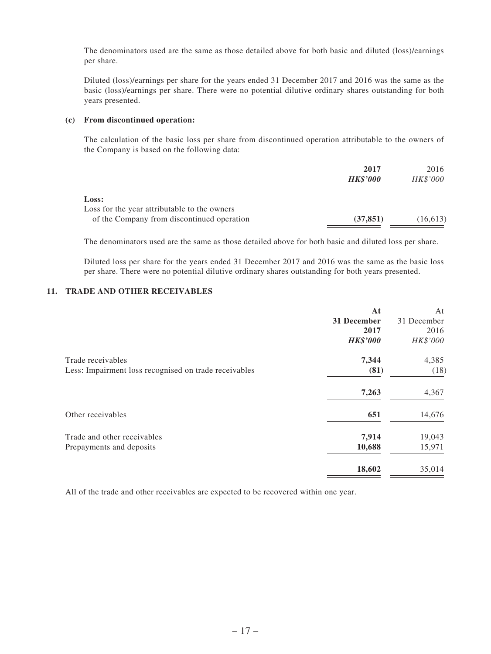The denominators used are the same as those detailed above for both basic and diluted (loss)/earnings per share.

Diluted (loss)/earnings per share for the years ended 31 December 2017 and 2016 was the same as the basic (loss)/earnings per share. There were no potential dilutive ordinary shares outstanding for both years presented.

#### **(c) From discontinued operation:**

The calculation of the basic loss per share from discontinued operation attributable to the owners of the Company is based on the following data:

|                                              | 2017            | 2016            |
|----------------------------------------------|-----------------|-----------------|
|                                              | <b>HK\$'000</b> | <i>HK\$'000</i> |
| Loss:                                        |                 |                 |
| Loss for the year attributable to the owners |                 |                 |
| of the Company from discontinued operation   | (37, 851)       | (16,613)        |

The denominators used are the same as those detailed above for both basic and diluted loss per share.

Diluted loss per share for the years ended 31 December 2017 and 2016 was the same as the basic loss per share. There were no potential dilutive ordinary shares outstanding for both years presented.

#### **11. TRADE AND OTHER RECEIVABLES**

|                                                       | At              | At          |
|-------------------------------------------------------|-----------------|-------------|
|                                                       | 31 December     | 31 December |
|                                                       | 2017            | 2016        |
|                                                       | <b>HK\$'000</b> | HK\$'000    |
| Trade receivables                                     | 7,344           | 4,385       |
| Less: Impairment loss recognised on trade receivables | (81)            | (18)        |
|                                                       | 7,263           | 4,367       |
| Other receivables                                     | 651             | 14,676      |
| Trade and other receivables                           | 7,914           | 19,043      |
| Prepayments and deposits                              | 10,688          | 15,971      |
|                                                       | 18,602          | 35,014      |

All of the trade and other receivables are expected to be recovered within one year.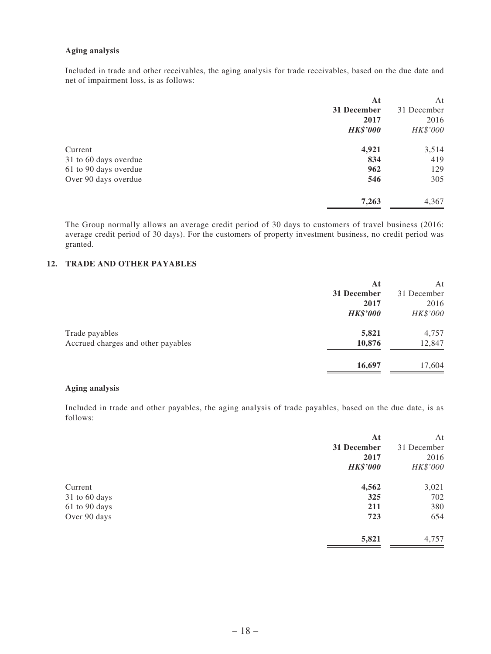### **Aging analysis**

Included in trade and other receivables, the aging analysis for trade receivables, based on the due date and net of impairment loss, is as follows:

|                       | At              | At          |
|-----------------------|-----------------|-------------|
|                       | 31 December     | 31 December |
|                       | 2017            | 2016        |
|                       | <b>HK\$'000</b> | HK\$'000    |
| Current               | 4,921           | 3,514       |
| 31 to 60 days overdue | 834             | 419         |
| 61 to 90 days overdue | 962             | 129         |
| Over 90 days overdue  | 546             | 305         |
|                       | 7,263           | 4,367       |

The Group normally allows an average credit period of 30 days to customers of travel business (2016: average credit period of 30 days). For the customers of property investment business, no credit period was granted.

### **12. TRADE AND OTHER PAYABLES**

| At              | At          |
|-----------------|-------------|
| 31 December     | 31 December |
| 2017            | 2016        |
| <b>HK\$'000</b> | HK\$'000    |
| 5,821           | 4,757       |
| 10,876          | 12,847      |
| 16,697          | 17,604      |
|                 |             |

### **Aging analysis**

Included in trade and other payables, the aging analysis of trade payables, based on the due date, is as follows:

|               | At              | At          |
|---------------|-----------------|-------------|
|               | 31 December     | 31 December |
|               | 2017            | 2016        |
|               | <b>HK\$'000</b> | HK\$'000    |
| Current       | 4,562           | 3,021       |
| 31 to 60 days | 325             | 702         |
| 61 to 90 days | 211             | 380         |
| Over 90 days  | 723             | 654         |
|               | 5,821           | 4,757       |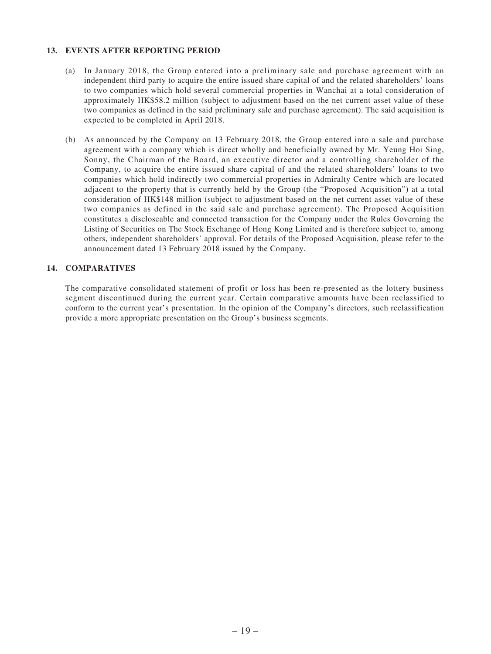### **13. EVENTS AFTER REPORTING PERIOD**

- (a) In January 2018, the Group entered into a preliminary sale and purchase agreement with an independent third party to acquire the entire issued share capital of and the related shareholders' loans to two companies which hold several commercial properties in Wanchai at a total consideration of approximately HK\$58.2 million (subject to adjustment based on the net current asset value of these two companies as defined in the said preliminary sale and purchase agreement). The said acquisition is expected to be completed in April 2018.
- (b) As announced by the Company on 13 February 2018, the Group entered into a sale and purchase agreement with a company which is direct wholly and beneficially owned by Mr. Yeung Hoi Sing, Sonny, the Chairman of the Board, an executive director and a controlling shareholder of the Company, to acquire the entire issued share capital of and the related shareholders' loans to two companies which hold indirectly two commercial properties in Admiralty Centre which are located adjacent to the property that is currently held by the Group (the "Proposed Acquisition") at a total consideration of HK\$148 million (subject to adjustment based on the net current asset value of these two companies as defined in the said sale and purchase agreement). The Proposed Acquisition constitutes a discloseable and connected transaction for the Company under the Rules Governing the Listing of Securities on The Stock Exchange of Hong Kong Limited and is therefore subject to, among others, independent shareholders' approval. For details of the Proposed Acquisition, please refer to the announcement dated 13 February 2018 issued by the Company.

### **14. COMPARATIVES**

The comparative consolidated statement of profit or loss has been re-presented as the lottery business segment discontinued during the current year. Certain comparative amounts have been reclassified to conform to the current year's presentation. In the opinion of the Company's directors, such reclassification provide a more appropriate presentation on the Group's business segments.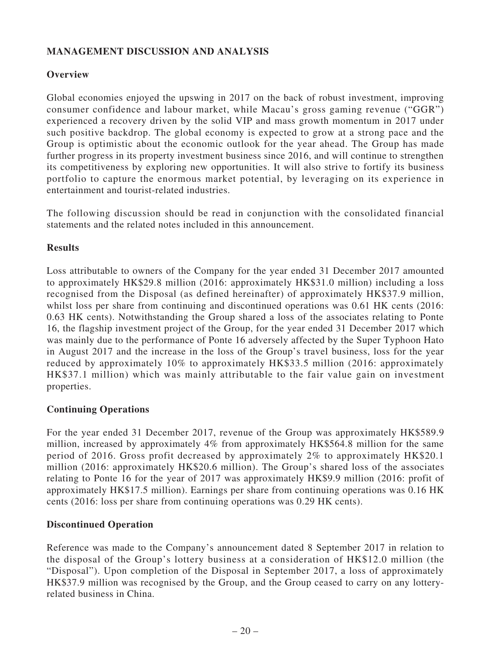# **MANAGEMENT DISCUSSION AND ANALYSIS**

# **Overview**

Global economies enjoyed the upswing in 2017 on the back of robust investment, improving consumer confidence and labour market, while Macau's gross gaming revenue ("GGR") experienced a recovery driven by the solid VIP and mass growth momentum in 2017 under such positive backdrop. The global economy is expected to grow at a strong pace and the Group is optimistic about the economic outlook for the year ahead. The Group has made further progress in its property investment business since 2016, and will continue to strengthen its competitiveness by exploring new opportunities. It will also strive to fortify its business portfolio to capture the enormous market potential, by leveraging on its experience in entertainment and tourist-related industries.

The following discussion should be read in conjunction with the consolidated financial statements and the related notes included in this announcement.

### **Results**

Loss attributable to owners of the Company for the year ended 31 December 2017 amounted to approximately HK\$29.8 million (2016: approximately HK\$31.0 million) including a loss recognised from the Disposal (as defined hereinafter) of approximately HK\$37.9 million, whilst loss per share from continuing and discontinued operations was 0.61 HK cents (2016: 0.63 HK cents). Notwithstanding the Group shared a loss of the associates relating to Ponte 16, the flagship investment project of the Group, for the year ended 31 December 2017 which was mainly due to the performance of Ponte 16 adversely affected by the Super Typhoon Hato in August 2017 and the increase in the loss of the Group's travel business, loss for the year reduced by approximately 10% to approximately HK\$33.5 million (2016: approximately HK\$37.1 million) which was mainly attributable to the fair value gain on investment properties.

### **Continuing Operations**

For the year ended 31 December 2017, revenue of the Group was approximately HK\$589.9 million, increased by approximately 4% from approximately HK\$564.8 million for the same period of 2016. Gross profit decreased by approximately 2% to approximately HK\$20.1 million (2016: approximately HK\$20.6 million). The Group's shared loss of the associates relating to Ponte 16 for the year of 2017 was approximately HK\$9.9 million (2016: profit of approximately HK\$17.5 million). Earnings per share from continuing operations was 0.16 HK cents (2016: loss per share from continuing operations was 0.29 HK cents).

### **Discontinued Operation**

Reference was made to the Company's announcement dated 8 September 2017 in relation to the disposal of the Group's lottery business at a consideration of HK\$12.0 million (the "Disposal"). Upon completion of the Disposal in September 2017, a loss of approximately HK\$37.9 million was recognised by the Group, and the Group ceased to carry on any lotteryrelated business in China.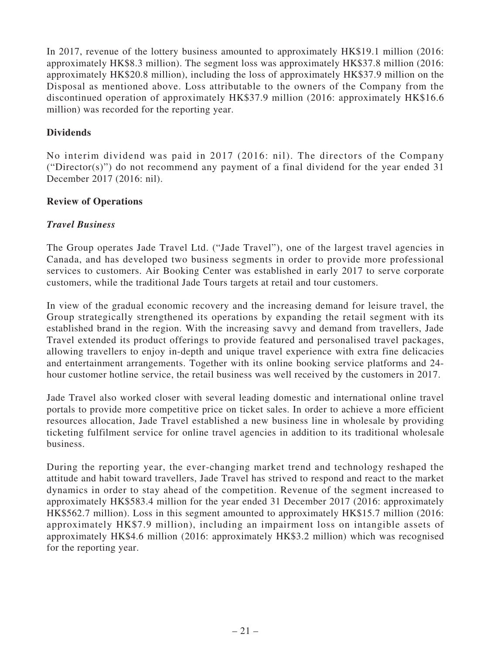In 2017, revenue of the lottery business amounted to approximately HK\$19.1 million (2016: approximately HK\$8.3 million). The segment loss was approximately HK\$37.8 million (2016: approximately HK\$20.8 million), including the loss of approximately HK\$37.9 million on the Disposal as mentioned above. Loss attributable to the owners of the Company from the discontinued operation of approximately HK\$37.9 million (2016: approximately HK\$16.6 million) was recorded for the reporting year.

### **Dividends**

No interim dividend was paid in 2017 (2016: nil). The directors of the Company ("Director(s)") do not recommend any payment of a final dividend for the year ended 31 December 2017 (2016: nil).

### **Review of Operations**

### *Travel Business*

The Group operates Jade Travel Ltd. ("Jade Travel"), one of the largest travel agencies in Canada, and has developed two business segments in order to provide more professional services to customers. Air Booking Center was established in early 2017 to serve corporate customers, while the traditional Jade Tours targets at retail and tour customers.

In view of the gradual economic recovery and the increasing demand for leisure travel, the Group strategically strengthened its operations by expanding the retail segment with its established brand in the region. With the increasing savvy and demand from travellers, Jade Travel extended its product offerings to provide featured and personalised travel packages, allowing travellers to enjoy in-depth and unique travel experience with extra fine delicacies and entertainment arrangements. Together with its online booking service platforms and 24 hour customer hotline service, the retail business was well received by the customers in 2017.

Jade Travel also worked closer with several leading domestic and international online travel portals to provide more competitive price on ticket sales. In order to achieve a more efficient resources allocation, Jade Travel established a new business line in wholesale by providing ticketing fulfilment service for online travel agencies in addition to its traditional wholesale business.

During the reporting year, the ever-changing market trend and technology reshaped the attitude and habit toward travellers, Jade Travel has strived to respond and react to the market dynamics in order to stay ahead of the competition. Revenue of the segment increased to approximately HK\$583.4 million for the year ended 31 December 2017 (2016: approximately HK\$562.7 million). Loss in this segment amounted to approximately HK\$15.7 million (2016: approximately HK\$7.9 million), including an impairment loss on intangible assets of approximately HK\$4.6 million (2016: approximately HK\$3.2 million) which was recognised for the reporting year.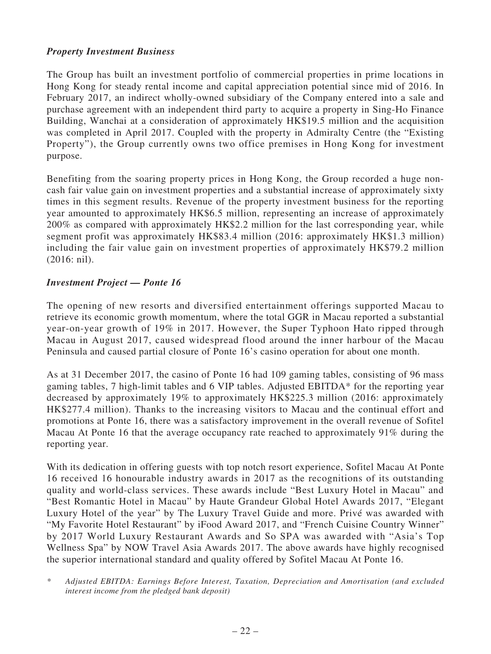# *Property Investment Business*

The Group has built an investment portfolio of commercial properties in prime locations in Hong Kong for steady rental income and capital appreciation potential since mid of 2016. In February 2017, an indirect wholly-owned subsidiary of the Company entered into a sale and purchase agreement with an independent third party to acquire a property in Sing-Ho Finance Building, Wanchai at a consideration of approximately HK\$19.5 million and the acquisition was completed in April 2017. Coupled with the property in Admiralty Centre (the "Existing Property"), the Group currently owns two office premises in Hong Kong for investment purpose.

Benefiting from the soaring property prices in Hong Kong, the Group recorded a huge noncash fair value gain on investment properties and a substantial increase of approximately sixty times in this segment results. Revenue of the property investment business for the reporting year amounted to approximately HK\$6.5 million, representing an increase of approximately 200% as compared with approximately HK\$2.2 million for the last corresponding year, while segment profit was approximately HK\$83.4 million (2016: approximately HK\$1.3 million) including the fair value gain on investment properties of approximately HK\$79.2 million (2016: nil).

# *Investment Project — Ponte 16*

The opening of new resorts and diversified entertainment offerings supported Macau to retrieve its economic growth momentum, where the total GGR in Macau reported a substantial year-on-year growth of 19% in 2017. However, the Super Typhoon Hato ripped through Macau in August 2017, caused widespread flood around the inner harbour of the Macau Peninsula and caused partial closure of Ponte 16's casino operation for about one month.

As at 31 December 2017, the casino of Ponte 16 had 109 gaming tables, consisting of 96 mass gaming tables, 7 high-limit tables and 6 VIP tables. Adjusted EBITDA\* for the reporting year decreased by approximately 19% to approximately HK\$225.3 million (2016: approximately HK\$277.4 million). Thanks to the increasing visitors to Macau and the continual effort and promotions at Ponte 16, there was a satisfactory improvement in the overall revenue of Sofitel Macau At Ponte 16 that the average occupancy rate reached to approximately 91% during the reporting year.

With its dedication in offering guests with top notch resort experience, Sofitel Macau At Ponte 16 received 16 honourable industry awards in 2017 as the recognitions of its outstanding quality and world-class services. These awards include "Best Luxury Hotel in Macau" and "Best Romantic Hotel in Macau" by Haute Grandeur Global Hotel Awards 2017, "Elegant Luxury Hotel of the year" by The Luxury Travel Guide and more. Privé was awarded with "My Favorite Hotel Restaurant" by iFood Award 2017, and "French Cuisine Country Winner" by 2017 World Luxury Restaurant Awards and So SPA was awarded with "Asia's Top Wellness Spa" by NOW Travel Asia Awards 2017. The above awards have highly recognised the superior international standard and quality offered by Sofitel Macau At Ponte 16.

*<sup>\*</sup> Adjusted EBITDA: Earnings Before Interest, Taxation, Depreciation and Amortisation (and excluded interest income from the pledged bank deposit)*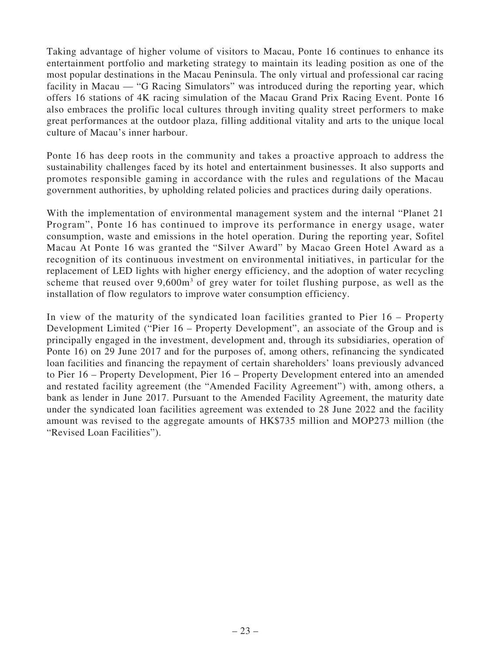Taking advantage of higher volume of visitors to Macau, Ponte 16 continues to enhance its entertainment portfolio and marketing strategy to maintain its leading position as one of the most popular destinations in the Macau Peninsula. The only virtual and professional car racing facility in Macau — "G Racing Simulators" was introduced during the reporting year, which offers 16 stations of 4K racing simulation of the Macau Grand Prix Racing Event. Ponte 16 also embraces the prolific local cultures through inviting quality street performers to make great performances at the outdoor plaza, filling additional vitality and arts to the unique local culture of Macau's inner harbour.

Ponte 16 has deep roots in the community and takes a proactive approach to address the sustainability challenges faced by its hotel and entertainment businesses. It also supports and promotes responsible gaming in accordance with the rules and regulations of the Macau government authorities, by upholding related policies and practices during daily operations.

With the implementation of environmental management system and the internal "Planet 21 Program", Ponte 16 has continued to improve its performance in energy usage, water consumption, waste and emissions in the hotel operation. During the reporting year, Sofitel Macau At Ponte 16 was granted the "Silver Award" by Macao Green Hotel Award as a recognition of its continuous investment on environmental initiatives, in particular for the replacement of LED lights with higher energy efficiency, and the adoption of water recycling scheme that reused over 9,600m<sup>3</sup> of grey water for toilet flushing purpose, as well as the installation of flow regulators to improve water consumption efficiency.

In view of the maturity of the syndicated loan facilities granted to Pier 16 – Property Development Limited ("Pier 16 – Property Development", an associate of the Group and is principally engaged in the investment, development and, through its subsidiaries, operation of Ponte 16) on 29 June 2017 and for the purposes of, among others, refinancing the syndicated loan facilities and financing the repayment of certain shareholders' loans previously advanced to Pier 16 – Property Development, Pier 16 – Property Development entered into an amended and restated facility agreement (the "Amended Facility Agreement") with, among others, a bank as lender in June 2017. Pursuant to the Amended Facility Agreement, the maturity date under the syndicated loan facilities agreement was extended to 28 June 2022 and the facility amount was revised to the aggregate amounts of HK\$735 million and MOP273 million (the "Revised Loan Facilities").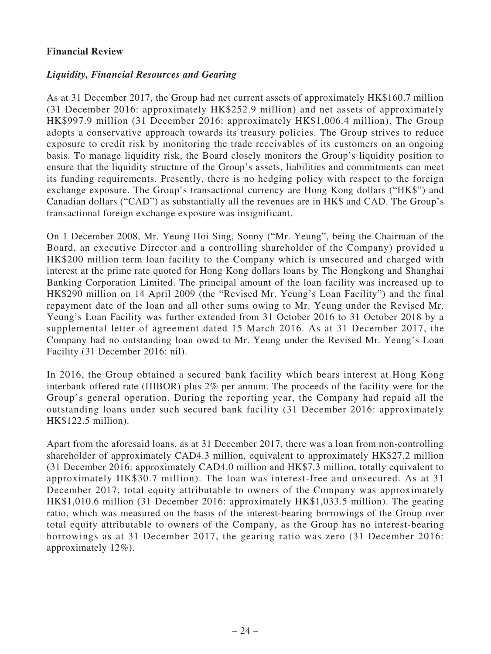### **Financial Review**

### *Liquidity, Financial Resources and Gearing*

As at 31 December 2017, the Group had net current assets of approximately HK\$160.7 million (31 December 2016: approximately HK\$252.9 million) and net assets of approximately HK\$997.9 million (31 December 2016: approximately HK\$1,006.4 million). The Group adopts a conservative approach towards its treasury policies. The Group strives to reduce exposure to credit risk by monitoring the trade receivables of its customers on an ongoing basis. To manage liquidity risk, the Board closely monitors the Group's liquidity position to ensure that the liquidity structure of the Group's assets, liabilities and commitments can meet its funding requirements. Presently, there is no hedging policy with respect to the foreign exchange exposure. The Group's transactional currency are Hong Kong dollars ("HK\$") and Canadian dollars ("CAD") as substantially all the revenues are in HK\$ and CAD. The Group's transactional foreign exchange exposure was insignificant.

On 1 December 2008, Mr. Yeung Hoi Sing, Sonny ("Mr. Yeung", being the Chairman of the Board, an executive Director and a controlling shareholder of the Company) provided a HK\$200 million term loan facility to the Company which is unsecured and charged with interest at the prime rate quoted for Hong Kong dollars loans by The Hongkong and Shanghai Banking Corporation Limited. The principal amount of the loan facility was increased up to HK\$290 million on 14 April 2009 (the "Revised Mr. Yeung's Loan Facility") and the final repayment date of the loan and all other sums owing to Mr. Yeung under the Revised Mr. Yeung's Loan Facility was further extended from 31 October 2016 to 31 October 2018 by a supplemental letter of agreement dated 15 March 2016. As at 31 December 2017, the Company had no outstanding loan owed to Mr. Yeung under the Revised Mr. Yeung's Loan Facility (31 December 2016: nil).

In 2016, the Group obtained a secured bank facility which bears interest at Hong Kong interbank offered rate (HIBOR) plus 2% per annum. The proceeds of the facility were for the Group's general operation. During the reporting year, the Company had repaid all the outstanding loans under such secured bank facility (31 December 2016: approximately HK\$122.5 million).

Apart from the aforesaid loans, as at 31 December 2017, there was a loan from non-controlling shareholder of approximately CAD4.3 million, equivalent to approximately HK\$27.2 million (31 December 2016: approximately CAD4.0 million and HK\$7.3 million, totally equivalent to approximately HK\$30.7 million). The loan was interest-free and unsecured. As at 31 December 2017, total equity attributable to owners of the Company was approximately HK\$1,010.6 million (31 December 2016: approximately HK\$1,033.5 million). The gearing ratio, which was measured on the basis of the interest-bearing borrowings of the Group over total equity attributable to owners of the Company, as the Group has no interest-bearing borrowings as at 31 December 2017, the gearing ratio was zero (31 December 2016: approximately 12%).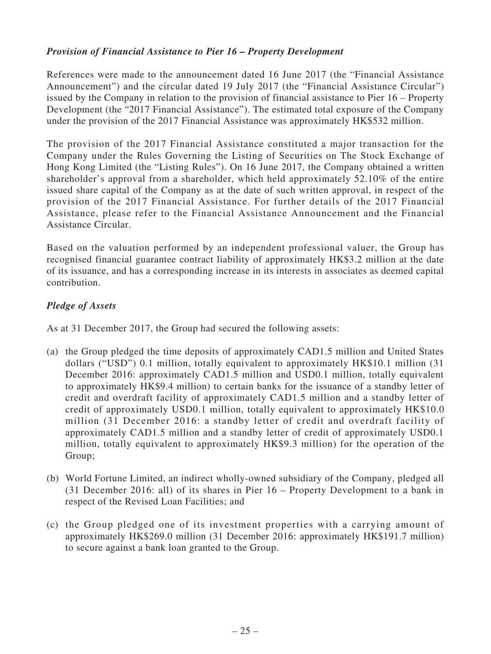# *Provision of Financial Assistance to Pier 16 – Property Development*

References were made to the announcement dated 16 June 2017 (the "Financial Assistance Announcement") and the circular dated 19 July 2017 (the "Financial Assistance Circular") issued by the Company in relation to the provision of financial assistance to Pier 16 – Property Development (the "2017 Financial Assistance"). The estimated total exposure of the Company under the provision of the 2017 Financial Assistance was approximately HK\$532 million.

The provision of the 2017 Financial Assistance constituted a major transaction for the Company under the Rules Governing the Listing of Securities on The Stock Exchange of Hong Kong Limited (the "Listing Rules"). On 16 June 2017, the Company obtained a written shareholder's approval from a shareholder, which held approximately 52.10% of the entire issued share capital of the Company as at the date of such written approval, in respect of the provision of the 2017 Financial Assistance. For further details of the 2017 Financial Assistance, please refer to the Financial Assistance Announcement and the Financial Assistance Circular.

Based on the valuation performed by an independent professional valuer, the Group has recognised financial guarantee contract liability of approximately HK\$3.2 million at the date of its issuance, and has a corresponding increase in its interests in associates as deemed capital contribution.

# *Pledge of Assets*

As at 31 December 2017, the Group had secured the following assets:

- (a) the Group pledged the time deposits of approximately CAD1.5 million and United States dollars ("USD") 0.1 million, totally equivalent to approximately HK\$10.1 million (31 December 2016: approximately CAD1.5 million and USD0.1 million, totally equivalent to approximately HK\$9.4 million) to certain banks for the issuance of a standby letter of credit and overdraft facility of approximately CAD1.5 million and a standby letter of credit of approximately USD0.1 million, totally equivalent to approximately HK\$10.0 million (31 December 2016: a standby letter of credit and overdraft facility of approximately CAD1.5 million and a standby letter of credit of approximately USD0.1 million, totally equivalent to approximately HK\$9.3 million) for the operation of the Group;
- (b) World Fortune Limited, an indirect wholly-owned subsidiary of the Company, pledged all (31 December 2016: all) of its shares in Pier 16 – Property Development to a bank in respect of the Revised Loan Facilities; and
- (c) the Group pledged one of its investment properties with a carrying amount of approximately HK\$269.0 million (31 December 2016: approximately HK\$191.7 million) to secure against a bank loan granted to the Group.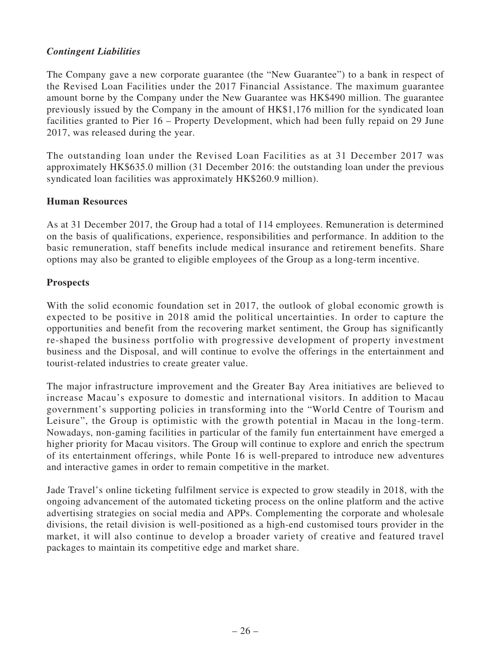# *Contingent Liabilities*

The Company gave a new corporate guarantee (the "New Guarantee") to a bank in respect of the Revised Loan Facilities under the 2017 Financial Assistance. The maximum guarantee amount borne by the Company under the New Guarantee was HK\$490 million. The guarantee previously issued by the Company in the amount of HK\$1,176 million for the syndicated loan facilities granted to Pier 16 – Property Development, which had been fully repaid on 29 June 2017, was released during the year.

The outstanding loan under the Revised Loan Facilities as at 31 December 2017 was approximately HK\$635.0 million (31 December 2016: the outstanding loan under the previous syndicated loan facilities was approximately HK\$260.9 million).

### **Human Resources**

As at 31 December 2017, the Group had a total of 114 employees. Remuneration is determined on the basis of qualifications, experience, responsibilities and performance. In addition to the basic remuneration, staff benefits include medical insurance and retirement benefits. Share options may also be granted to eligible employees of the Group as a long-term incentive.

### **Prospects**

With the solid economic foundation set in 2017, the outlook of global economic growth is expected to be positive in 2018 amid the political uncertainties. In order to capture the opportunities and benefit from the recovering market sentiment, the Group has significantly re-shaped the business portfolio with progressive development of property investment business and the Disposal, and will continue to evolve the offerings in the entertainment and tourist-related industries to create greater value.

The major infrastructure improvement and the Greater Bay Area initiatives are believed to increase Macau's exposure to domestic and international visitors. In addition to Macau government's supporting policies in transforming into the "World Centre of Tourism and Leisure", the Group is optimistic with the growth potential in Macau in the long-term. Nowadays, non-gaming facilities in particular of the family fun entertainment have emerged a higher priority for Macau visitors. The Group will continue to explore and enrich the spectrum of its entertainment offerings, while Ponte 16 is well-prepared to introduce new adventures and interactive games in order to remain competitive in the market.

Jade Travel's online ticketing fulfilment service is expected to grow steadily in 2018, with the ongoing advancement of the automated ticketing process on the online platform and the active advertising strategies on social media and APPs. Complementing the corporate and wholesale divisions, the retail division is well-positioned as a high-end customised tours provider in the market, it will also continue to develop a broader variety of creative and featured travel packages to maintain its competitive edge and market share.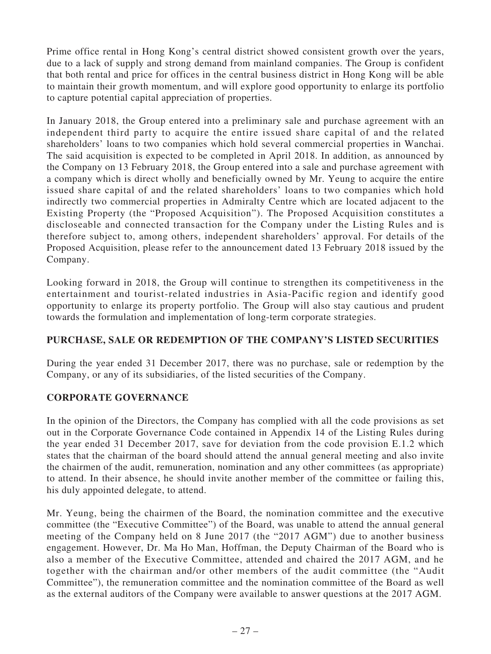Prime office rental in Hong Kong's central district showed consistent growth over the years, due to a lack of supply and strong demand from mainland companies. The Group is confident that both rental and price for offices in the central business district in Hong Kong will be able to maintain their growth momentum, and will explore good opportunity to enlarge its portfolio to capture potential capital appreciation of properties.

In January 2018, the Group entered into a preliminary sale and purchase agreement with an independent third party to acquire the entire issued share capital of and the related shareholders' loans to two companies which hold several commercial properties in Wanchai. The said acquisition is expected to be completed in April 2018. In addition, as announced by the Company on 13 February 2018, the Group entered into a sale and purchase agreement with a company which is direct wholly and beneficially owned by Mr. Yeung to acquire the entire issued share capital of and the related shareholders' loans to two companies which hold indirectly two commercial properties in Admiralty Centre which are located adjacent to the Existing Property (the "Proposed Acquisition"). The Proposed Acquisition constitutes a discloseable and connected transaction for the Company under the Listing Rules and is therefore subject to, among others, independent shareholders' approval. For details of the Proposed Acquisition, please refer to the announcement dated 13 February 2018 issued by the Company.

Looking forward in 2018, the Group will continue to strengthen its competitiveness in the entertainment and tourist-related industries in Asia-Pacific region and identify good opportunity to enlarge its property portfolio. The Group will also stay cautious and prudent towards the formulation and implementation of long-term corporate strategies.

### **PURCHASE, SALE OR REDEMPTION OF THE COMPANY'S LISTED SECURITIES**

During the year ended 31 December 2017, there was no purchase, sale or redemption by the Company, or any of its subsidiaries, of the listed securities of the Company.

# **CORPORATE GOVERNANCE**

In the opinion of the Directors, the Company has complied with all the code provisions as set out in the Corporate Governance Code contained in Appendix 14 of the Listing Rules during the year ended 31 December 2017, save for deviation from the code provision E.1.2 which states that the chairman of the board should attend the annual general meeting and also invite the chairmen of the audit, remuneration, nomination and any other committees (as appropriate) to attend. In their absence, he should invite another member of the committee or failing this, his duly appointed delegate, to attend.

Mr. Yeung, being the chairmen of the Board, the nomination committee and the executive committee (the "Executive Committee") of the Board, was unable to attend the annual general meeting of the Company held on 8 June 2017 (the "2017 AGM") due to another business engagement. However, Dr. Ma Ho Man, Hoffman, the Deputy Chairman of the Board who is also a member of the Executive Committee, attended and chaired the 2017 AGM, and he together with the chairman and/or other members of the audit committee (the "Audit Committee"), the remuneration committee and the nomination committee of the Board as well as the external auditors of the Company were available to answer questions at the 2017 AGM.